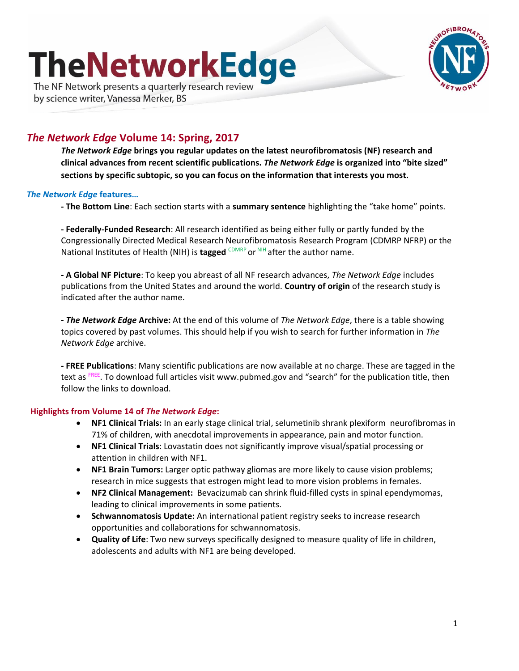# **TheNetworkEdge**

The NF Network presents a quarterly research review by science writer, Vanessa Merker, BS



# *The Network Edge* **Volume 14: Spring, 2017**

*The Network Edge* **brings you regular updates on the latest neurofibromatosis (NF) research and clinical advances from recent scientific publications.** *The Network Edge* **is organized into "bite sized" sections by specific subtopic, so you can focus on the information that interests you most.**

#### *The Network Edge* **features…**

**- The Bottom Line**: Each section starts with a **summary sentence** highlighting the "take home" points.

**- Federally-Funded Research**: All research identified as being either fully or partly funded by the Congressionally Directed Medical Research Neurofibromatosis Research Program (CDMRP NFRP) or the National Institutes of Health (NIH) is **tagged** CDMRP or NIH after the author name.

**- A Global NF Picture**: To keep you abreast of all NF research advances, *The Network Edge* includes publications from the United States and around the world. **Country of origin** of the research study is indicated after the author name.

**-** *The Network Edge* **Archive:** At the end of this volume of *The Network Edge*, there is a table showing topics covered by past volumes. This should help if you wish to search for further information in *The Network Edge* archive.

**- FREE Publications**: Many scientific publications are now available at no charge. These are tagged in the text as FREE. To download full articles visit www.pubmed.gov and "search" for the publication title, then follow the links to download.

#### **Highlights from Volume 14 of** *The Network Edge***:**

- **NF1 Clinical Trials:** In an early stage clinical trial, selumetinib shrank plexiform neurofibromas in 71% of children, with anecdotal improvements in appearance, pain and motor function.
- **NF1 Clinical Trials**: Lovastatin does not significantly improve visual/spatial processing or attention in children with NF1.
- **NF1 Brain Tumors:** Larger optic pathway gliomas are more likely to cause vision problems; research in mice suggests that estrogen might lead to more vision problems in females.
- **NF2 Clinical Management:** Bevacizumab can shrink fluid-filled cysts in spinal ependymomas, leading to clinical improvements in some patients.
- **Schwannomatosis Update:** An international patient registry seeks to increase research opportunities and collaborations for schwannomatosis.
- **Quality of Life**: Two new surveys specifically designed to measure quality of life in children, adolescents and adults with NF1 are being developed.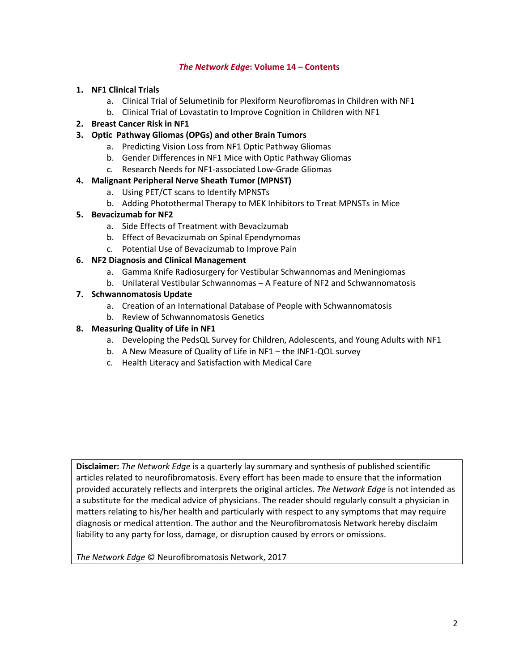#### *The Network Edge***: Volume 14 – Contents**

#### **1. NF1 Clinical Trials**

- a. Clinical Trial of Selumetinib for Plexiform Neurofibromas in Children with NF1
- b. Clinical Trial of Lovastatin to Improve Cognition in Children with NF1

#### **2. Breast Cancer Risk in NF1**

#### **3. Optic Pathway Gliomas (OPGs) and other Brain Tumors**

- a. Predicting Vision Loss from NF1 Optic Pathway Gliomas
- b. Gender Differences in NF1 Mice with Optic Pathway Gliomas
- c. Research Needs for NF1-associated Low-Grade Gliomas

#### **4. Malignant Peripheral Nerve Sheath Tumor (MPNST)**

- a. Using PET/CT scans to Identify MPNSTs
- b. Adding Photothermal Therapy to MEK Inhibitors to Treat MPNSTs in Mice

#### **5. Bevacizumab for NF2**

- a. Side Effects of Treatment with Bevacizumab
- b. Effect of Bevacizumab on Spinal Ependymomas
- c. Potential Use of Bevacizumab to Improve Pain

#### **6. NF2 Diagnosis and Clinical Management**

- a. Gamma Knife Radiosurgery for Vestibular Schwannomas and Meningiomas
- b. Unilateral Vestibular Schwannomas A Feature of NF2 and Schwannomatosis

#### **7. Schwannomatosis Update**

- a. Creation of an International Database of People with Schwannomatosis
- b. Review of Schwannomatosis Genetics

#### **8. Measuring Quality of Life in NF1**

- a. Developing the PedsQL Survey for Children, Adolescents, and Young Adults with NF1
- b. A New Measure of Quality of Life in NF1 the INF1-QOL survey
- c. Health Literacy and Satisfaction with Medical Care

**Disclaimer:** *The Network Edge* is a quarterly lay summary and synthesis of published scientific articles related to neurofibromatosis. Every effort has been made to ensure that the information provided accurately reflects and interprets the original articles. *The Network Edge* is not intended as a substitute for the medical advice of physicians. The reader should regularly consult a physician in matters relating to his/her health and particularly with respect to any symptoms that may require diagnosis or medical attention. The author and the Neurofibromatosis Network hereby disclaim liability to any party for loss, damage, or disruption caused by errors or omissions.

*The Network Edge* © Neurofibromatosis Network, 2017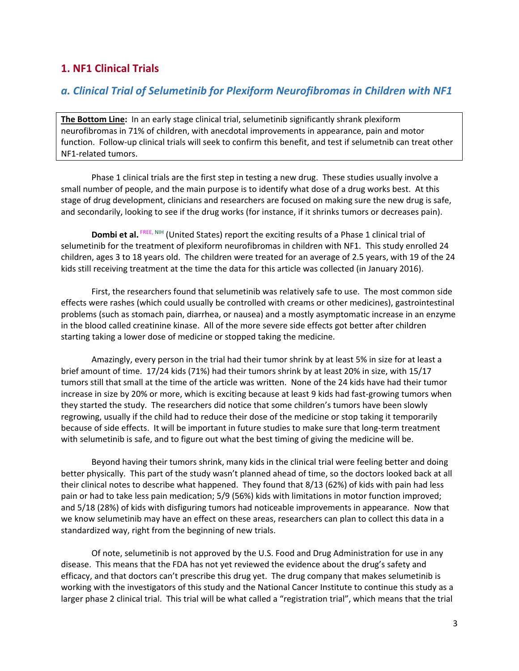# **1. NF1 Clinical Trials**

# *a. Clinical Trial of Selumetinib for Plexiform Neurofibromas in Children with NF1*

**The Bottom Line:** In an early stage clinical trial, selumetinib significantly shrank plexiform neurofibromas in 71% of children, with anecdotal improvements in appearance, pain and motor function. Follow-up clinical trials will seek to confirm this benefit, and test if selumetnib can treat other NF1-related tumors.

Phase 1 clinical trials are the first step in testing a new drug. These studies usually involve a small number of people, and the main purpose is to identify what dose of a drug works best. At this stage of drug development, clinicians and researchers are focused on making sure the new drug is safe, and secondarily, looking to see if the drug works (for instance, if it shrinks tumors or decreases pain).

**Dombi et al.** FREE, NIH (United States) report the exciting results of a Phase 1 clinical trial of selumetinib for the treatment of plexiform neurofibromas in children with NF1. This study enrolled 24 children, ages 3 to 18 years old. The children were treated for an average of 2.5 years, with 19 of the 24 kids still receiving treatment at the time the data for this article was collected (in January 2016).

First, the researchers found that selumetinib was relatively safe to use. The most common side effects were rashes (which could usually be controlled with creams or other medicines), gastrointestinal problems (such as stomach pain, diarrhea, or nausea) and a mostly asymptomatic increase in an enzyme in the blood called creatinine kinase. All of the more severe side effects got better after children starting taking a lower dose of medicine or stopped taking the medicine.

Amazingly, every person in the trial had their tumor shrink by at least 5% in size for at least a brief amount of time. 17/24 kids (71%) had their tumors shrink by at least 20% in size, with 15/17 tumors still that small at the time of the article was written. None of the 24 kids have had their tumor increase in size by 20% or more, which is exciting because at least 9 kids had fast-growing tumors when they started the study. The researchers did notice that some children's tumors have been slowly regrowing, usually if the child had to reduce their dose of the medicine or stop taking it temporarily because of side effects. It will be important in future studies to make sure that long-term treatment with selumetinib is safe, and to figure out what the best timing of giving the medicine will be.

Beyond having their tumors shrink, many kids in the clinical trial were feeling better and doing better physically. This part of the study wasn't planned ahead of time, so the doctors looked back at all their clinical notes to describe what happened. They found that 8/13 (62%) of kids with pain had less pain or had to take less pain medication; 5/9 (56%) kids with limitations in motor function improved; and 5/18 (28%) of kids with disfiguring tumors had noticeable improvements in appearance. Now that we know selumetinib may have an effect on these areas, researchers can plan to collect this data in a standardized way, right from the beginning of new trials.

Of note, selumetinib is not approved by the U.S. Food and Drug Administration for use in any disease. This means that the FDA has not yet reviewed the evidence about the drug's safety and efficacy, and that doctors can't prescribe this drug yet. The drug company that makes selumetinib is working with the investigators of this study and the National Cancer Institute to continue this study as a larger phase 2 clinical trial. This trial will be what called a "registration trial", which means that the trial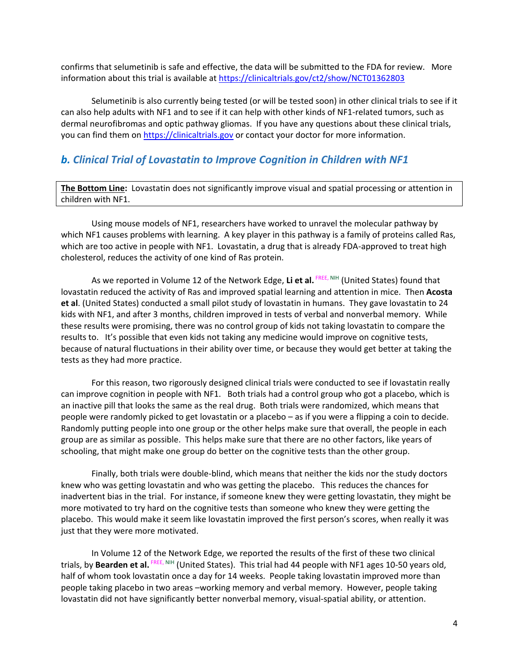confirms that selumetinib is safe and effective, the data will be submitted to the FDA for review. More information about this trial is available at<https://clinicaltrials.gov/ct2/show/NCT01362803>

Selumetinib is also currently being tested (or will be tested soon) in other clinical trials to see if it can also help adults with NF1 and to see if it can help with other kinds of NF1-related tumors, such as dermal neurofibromas and optic pathway gliomas. If you have any questions about these clinical trials, you can find them on [https://clinicaltrials.gov](https://clinicaltrials.gov/) or contact your doctor for more information.

## *b. Clinical Trial of Lovastatin to Improve Cognition in Children with NF1*

**The Bottom Line:** Lovastatin does not significantly improve visual and spatial processing or attention in children with NF1.

Using mouse models of NF1, researchers have worked to unravel the molecular pathway by which NF1 causes problems with learning. A key player in this pathway is a family of proteins called Ras, which are too active in people with NF1. Lovastatin, a drug that is already FDA-approved to treat high cholesterol, reduces the activity of one kind of Ras protein.

As we reported in Volume 12 of the Network Edge, Li et al. FREE, NIH (United States) found that lovastatin reduced the activity of Ras and improved spatial learning and attention in mice. Then **Acosta et al**. (United States) conducted a small pilot study of lovastatin in humans. They gave lovastatin to 24 kids with NF1, and after 3 months, children improved in tests of verbal and nonverbal memory. While these results were promising, there was no control group of kids not taking lovastatin to compare the results to. It's possible that even kids not taking any medicine would improve on cognitive tests, because of natural fluctuations in their ability over time, or because they would get better at taking the tests as they had more practice.

For this reason, two rigorously designed clinical trials were conducted to see if lovastatin really can improve cognition in people with NF1. Both trials had a control group who got a placebo, which is an inactive pill that looks the same as the real drug. Both trials were randomized, which means that people were randomly picked to get lovastatin or a placebo – as if you were a flipping a coin to decide. Randomly putting people into one group or the other helps make sure that overall, the people in each group are as similar as possible. This helps make sure that there are no other factors, like years of schooling, that might make one group do better on the cognitive tests than the other group.

Finally, both trials were double-blind, which means that neither the kids nor the study doctors knew who was getting lovastatin and who was getting the placebo. This reduces the chances for inadvertent bias in the trial. For instance, if someone knew they were getting lovastatin, they might be more motivated to try hard on the cognitive tests than someone who knew they were getting the placebo. This would make it seem like lovastatin improved the first person's scores, when really it was just that they were more motivated.

In Volume 12 of the Network Edge, we reported the results of the first of these two clinical trials, by **Bearden et al.** FREE, NIH (United States). This trial had 44 people with NF1 ages 10-50 years old, half of whom took lovastatin once a day for 14 weeks. People taking lovastatin improved more than people taking placebo in two areas –working memory and verbal memory. However, people taking lovastatin did not have significantly better nonverbal memory, visual-spatial ability, or attention.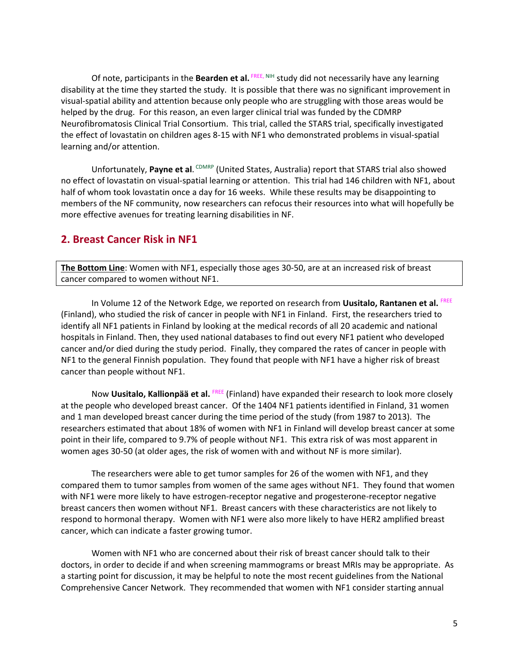Of note, participants in the Bearden et al. FREE, NIH study did not necessarily have any learning disability at the time they started the study. It is possible that there was no significant improvement in visual-spatial ability and attention because only people who are struggling with those areas would be helped by the drug. For this reason, an even larger clinical trial was funded by the CDMRP Neurofibromatosis Clinical Trial Consortium. This trial, called the STARS trial, specifically investigated the effect of lovastatin on children ages 8-15 with NF1 who demonstrated problems in visual-spatial learning and/or attention.

Unfortunately, Payne et al. CDMRP (United States, Australia) report that STARS trial also showed no effect of lovastatin on visual-spatial learning or attention. This trial had 146 children with NF1, about half of whom took lovastatin once a day for 16 weeks. While these results may be disappointing to members of the NF community, now researchers can refocus their resources into what will hopefully be more effective avenues for treating learning disabilities in NF.

## **2. Breast Cancer Risk in NF1**

**The Bottom Line**: Women with NF1, especially those ages 30-50, are at an increased risk of breast cancer compared to women without NF1.

In Volume 12 of the Network Edge, we reported on research from **Uusitalo, Rantanen et al.** FREE (Finland), who studied the risk of cancer in people with NF1 in Finland. First, the researchers tried to identify all NF1 patients in Finland by looking at the medical records of all 20 academic and national hospitals in Finland. Then, they used national databases to find out every NF1 patient who developed cancer and/or died during the study period. Finally, they compared the rates of cancer in people with NF1 to the general Finnish population. They found that people with NF1 have a higher risk of breast cancer than people without NF1.

Now **Uusitalo, Kallionpää et al.** FREE (Finland) have expanded their research to look more closely at the people who developed breast cancer. Of the 1404 NF1 patients identified in Finland, 31 women and 1 man developed breast cancer during the time period of the study (from 1987 to 2013). The researchers estimated that about 18% of women with NF1 in Finland will develop breast cancer at some point in their life, compared to 9.7% of people without NF1. This extra risk of was most apparent in women ages 30-50 (at older ages, the risk of women with and without NF is more similar).

The researchers were able to get tumor samples for 26 of the women with NF1, and they compared them to tumor samples from women of the same ages without NF1. They found that women with NF1 were more likely to have estrogen-receptor negative and progesterone-receptor negative breast cancers then women without NF1. Breast cancers with these characteristics are not likely to respond to hormonal therapy. Women with NF1 were also more likely to have HER2 amplified breast cancer, which can indicate a faster growing tumor.

Women with NF1 who are concerned about their risk of breast cancer should talk to their doctors, in order to decide if and when screening mammograms or breast MRIs may be appropriate. As a starting point for discussion, it may be helpful to note the most recent guidelines from the National Comprehensive Cancer Network. They recommended that women with NF1 consider starting annual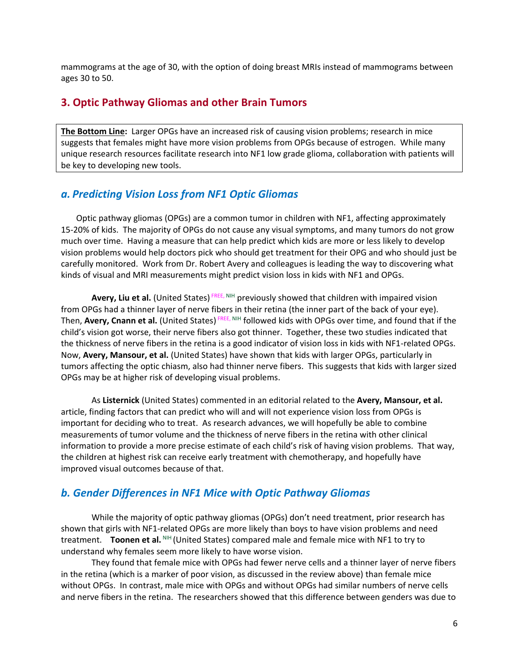mammograms at the age of 30, with the option of doing breast MRIs instead of mammograms between ages 30 to 50.

## **3. Optic Pathway Gliomas and other Brain Tumors**

**The Bottom Line:** Larger OPGs have an increased risk of causing vision problems; research in mice suggests that females might have more vision problems from OPGs because of estrogen. While many unique research resources facilitate research into NF1 low grade glioma, collaboration with patients will be key to developing new tools.

#### *a. Predicting Vision Loss from NF1 Optic Gliomas*

Optic pathway gliomas (OPGs) are a common tumor in children with NF1, affecting approximately 15-20% of kids. The majority of OPGs do not cause any visual symptoms, and many tumors do not grow much over time. Having a measure that can help predict which kids are more or less likely to develop vision problems would help doctors pick who should get treatment for their OPG and who should just be carefully monitored. Work from Dr. Robert Avery and colleagues is leading the way to discovering what kinds of visual and MRI measurements might predict vision loss in kids with NF1 and OPGs.

Avery, Liu et al. (United States)<sup>FREE, NIH</sup> previously showed that children with impaired vision from OPGs had a thinner layer of nerve fibers in their retina (the inner part of the back of your eye). Then, Avery, Cnann et al. (United States)<sup>FREE, NIH</sup> followed kids with OPGs over time, and found that if the child's vision got worse, their nerve fibers also got thinner. Together, these two studies indicated that the thickness of nerve fibers in the retina is a good indicator of vision loss in kids with NF1-related OPGs. Now, **Avery, Mansour, et al.** (United States) have shown that kids with larger OPGs, particularly in tumors affecting the optic chiasm, also had thinner nerve fibers. This suggests that kids with larger sized OPGs may be at higher risk of developing visual problems.

As **Listernick** (United States) commented in an editorial related to the **Avery, Mansour, et al.** article, finding factors that can predict who will and will not experience vision loss from OPGs is important for deciding who to treat. As research advances, we will hopefully be able to combine measurements of tumor volume and the thickness of nerve fibers in the retina with other clinical information to provide a more precise estimate of each child's risk of having vision problems. That way, the children at highest risk can receive early treatment with chemotherapy, and hopefully have improved visual outcomes because of that.

#### *b. Gender Differences in NF1 Mice with Optic Pathway Gliomas*

While the majority of optic pathway gliomas (OPGs) don't need treatment, prior research has shown that girls with NF1-related OPGs are more likely than boys to have vision problems and need treatment. **Toonen et al.** NIH (United States) compared male and female mice with NF1 to try to understand why females seem more likely to have worse vision.

They found that female mice with OPGs had fewer nerve cells and a thinner layer of nerve fibers in the retina (which is a marker of poor vision, as discussed in the review above) than female mice without OPGs. In contrast, male mice with OPGs and without OPGs had similar numbers of nerve cells and nerve fibers in the retina. The researchers showed that this difference between genders was due to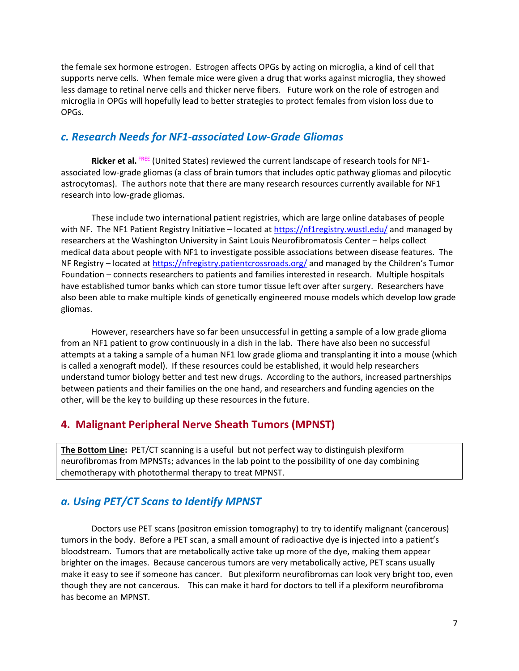the female sex hormone estrogen. Estrogen affects OPGs by acting on microglia, a kind of cell that supports nerve cells. When female mice were given a drug that works against microglia, they showed less damage to retinal nerve cells and thicker nerve fibers. Future work on the role of estrogen and microglia in OPGs will hopefully lead to better strategies to protect females from vision loss due to OPGs.

## *c. Research Needs for NF1-associated Low-Grade Gliomas*

Ricker et al. <sup>FREE</sup> (United States) reviewed the current landscape of research tools for NF1associated low-grade gliomas (a class of brain tumors that includes optic pathway gliomas and pilocytic astrocytomas). The authors note that there are many research resources currently available for NF1 research into low-grade gliomas.

These include two international patient registries, which are large online databases of people with NF. The NF1 Patient Registry Initiative – located at<https://nf1registry.wustl.edu/> and managed by researchers at the Washington University in Saint Louis Neurofibromatosis Center – helps collect medical data about people with NF1 to investigate possible associations between disease features. The NF Registry – located at<https://nfregistry.patientcrossroads.org/> and managed by the Children's Tumor Foundation – connects researchers to patients and families interested in research. Multiple hospitals have established tumor banks which can store tumor tissue left over after surgery. Researchers have also been able to make multiple kinds of genetically engineered mouse models which develop low grade gliomas.

However, researchers have so far been unsuccessful in getting a sample of a low grade glioma from an NF1 patient to grow continuously in a dish in the lab. There have also been no successful attempts at a taking a sample of a human NF1 low grade glioma and transplanting it into a mouse (which is called a xenograft model). If these resources could be established, it would help researchers understand tumor biology better and test new drugs. According to the authors, increased partnerships between patients and their families on the one hand, and researchers and funding agencies on the other, will be the key to building up these resources in the future.

#### **4. Malignant Peripheral Nerve Sheath Tumors (MPNST)**

**The Bottom Line:** PET/CT scanning is a useful but not perfect way to distinguish plexiform neurofibromas from MPNSTs; advances in the lab point to the possibility of one day combining chemotherapy with photothermal therapy to treat MPNST.

#### *a. Using PET/CT Scans to Identify MPNST*

Doctors use PET scans (positron emission tomography) to try to identify malignant (cancerous) tumors in the body. Before a PET scan, a small amount of radioactive dye is injected into a patient's bloodstream. Tumors that are metabolically active take up more of the dye, making them appear brighter on the images. Because cancerous tumors are very metabolically active, PET scans usually make it easy to see if someone has cancer. But plexiform neurofibromas can look very bright too, even though they are not cancerous. This can make it hard for doctors to tell if a plexiform neurofibroma has become an MPNST.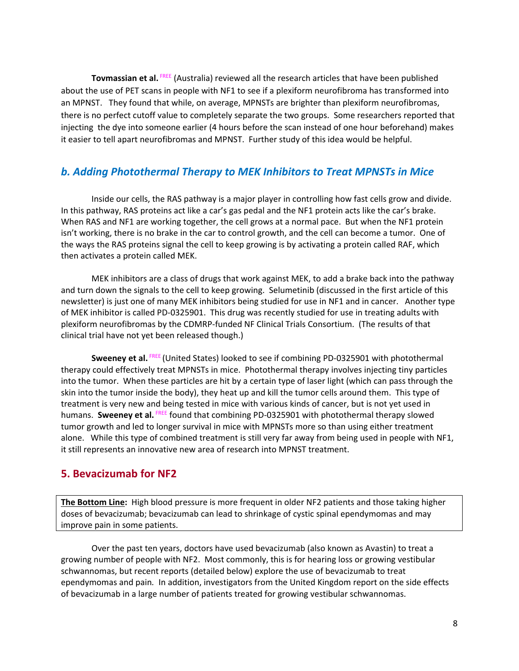**Tovmassian et al.** FREE (Australia) reviewed all the research articles that have been published about the use of PET scans in people with NF1 to see if a plexiform neurofibroma has transformed into an MPNST. They found that while, on average, MPNSTs are brighter than plexiform neurofibromas, there is no perfect cutoff value to completely separate the two groups. Some researchers reported that injecting the dye into someone earlier (4 hours before the scan instead of one hour beforehand) makes it easier to tell apart neurofibromas and MPNST. Further study of this idea would be helpful.

## *b. Adding Photothermal Therapy to MEK Inhibitors to Treat MPNSTs in Mice*

Inside our cells, the RAS pathway is a major player in controlling how fast cells grow and divide. In this pathway, RAS proteins act like a car's gas pedal and the NF1 protein acts like the car's brake. When RAS and NF1 are working together, the cell grows at a normal pace. But when the NF1 protein isn't working, there is no brake in the car to control growth, and the cell can become a tumor. One of the ways the RAS proteins signal the cell to keep growing is by activating a protein called RAF, which then activates a protein called MEK.

MEK inhibitors are a class of drugs that work against MEK, to add a brake back into the pathway and turn down the signals to the cell to keep growing. Selumetinib (discussed in the first article of this newsletter) is just one of many MEK inhibitors being studied for use in NF1 and in cancer. Another type of MEK inhibitor is called PD-0325901. This drug was recently studied for use in treating adults with plexiform neurofibromas by the CDMRP-funded NF Clinical Trials Consortium. (The results of that clinical trial have not yet been released though.)

**Sweeney et al.** FREE (United States) looked to see if combining PD-0325901 with photothermal therapy could effectively treat MPNSTs in mice. Photothermal therapy involves injecting tiny particles into the tumor. When these particles are hit by a certain type of laser light (which can pass through the skin into the tumor inside the body), they heat up and kill the tumor cells around them. This type of treatment is very new and being tested in mice with various kinds of cancer, but is not yet used in humans. Sweeney et al. FREE found that combining PD-0325901 with photothermal therapy slowed tumor growth and led to longer survival in mice with MPNSTs more so than using either treatment alone. While this type of combined treatment is still very far away from being used in people with NF1, it still represents an innovative new area of research into MPNST treatment.

# **5. Bevacizumab for NF2**

**The Bottom Line:** High blood pressure is more frequent in older NF2 patients and those taking higher doses of bevacizumab; bevacizumab can lead to shrinkage of cystic spinal ependymomas and may improve pain in some patients.

Over the past ten years, doctors have used bevacizumab (also known as Avastin) to treat a growing number of people with NF2. Most commonly, this is for hearing loss or growing vestibular schwannomas, but recent reports (detailed below) explore the use of bevacizumab to treat ependymomas and pain*.* In addition, investigators from the United Kingdom report on the side effects of bevacizumab in a large number of patients treated for growing vestibular schwannomas.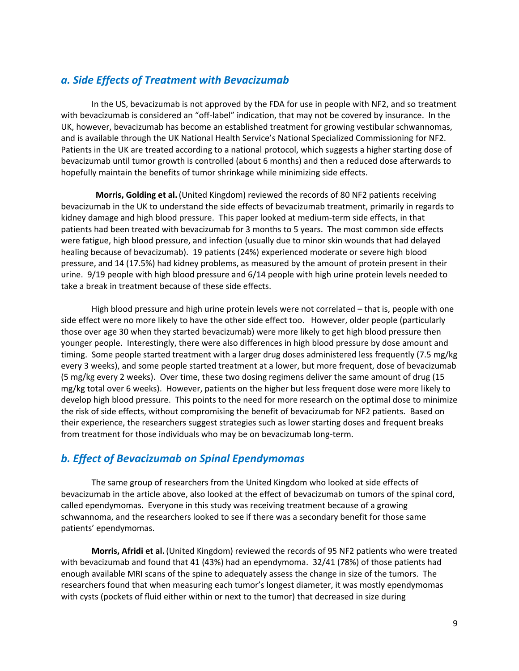# *a. Side Effects of Treatment with Bevacizumab*

In the US, bevacizumab is not approved by the FDA for use in people with NF2, and so treatment with bevacizumab is considered an "off-label" indication, that may not be covered by insurance. In the UK, however, bevacizumab has become an established treatment for growing vestibular schwannomas, and is available through the UK National Health Service's National Specialized Commissioning for NF2. Patients in the UK are treated according to a national protocol, which suggests a higher starting dose of bevacizumab until tumor growth is controlled (about 6 months) and then a reduced dose afterwards to hopefully maintain the benefits of tumor shrinkage while minimizing side effects.

 **Morris, Golding et al.**(United Kingdom) reviewed the records of 80 NF2 patients receiving bevacizumab in the UK to understand the side effects of bevacizumab treatment, primarily in regards to kidney damage and high blood pressure. This paper looked at medium-term side effects, in that patients had been treated with bevacizumab for 3 months to 5 years. The most common side effects were fatigue, high blood pressure, and infection (usually due to minor skin wounds that had delayed healing because of bevacizumab). 19 patients (24%) experienced moderate or severe high blood pressure, and 14 (17.5%) had kidney problems, as measured by the amount of protein present in their urine. 9/19 people with high blood pressure and 6/14 people with high urine protein levels needed to take a break in treatment because of these side effects.

High blood pressure and high urine protein levels were not correlated – that is, people with one side effect were no more likely to have the other side effect too. However, older people (particularly those over age 30 when they started bevacizumab) were more likely to get high blood pressure then younger people. Interestingly, there were also differences in high blood pressure by dose amount and timing. Some people started treatment with a larger drug doses administered less frequently (7.5 mg/kg every 3 weeks), and some people started treatment at a lower, but more frequent, dose of bevacizumab (5 mg/kg every 2 weeks). Over time, these two dosing regimens deliver the same amount of drug (15 mg/kg total over 6 weeks). However, patients on the higher but less frequent dose were more likely to develop high blood pressure. This points to the need for more research on the optimal dose to minimize the risk of side effects, without compromising the benefit of bevacizumab for NF2 patients. Based on their experience, the researchers suggest strategies such as lower starting doses and frequent breaks from treatment for those individuals who may be on bevacizumab long-term.

## *b. Effect of Bevacizumab on Spinal Ependymomas*

The same group of researchers from the United Kingdom who looked at side effects of bevacizumab in the article above, also looked at the effect of bevacizumab on tumors of the spinal cord, called ependymomas. Everyone in this study was receiving treatment because of a growing schwannoma, and the researchers looked to see if there was a secondary benefit for those same patients' ependymomas.

**Morris, Afridi et al.**(United Kingdom) reviewed the records of 95 NF2 patients who were treated with bevacizumab and found that 41 (43%) had an ependymoma. 32/41 (78%) of those patients had enough available MRI scans of the spine to adequately assess the change in size of the tumors. The researchers found that when measuring each tumor's longest diameter, it was mostly ependymomas with cysts (pockets of fluid either within or next to the tumor) that decreased in size during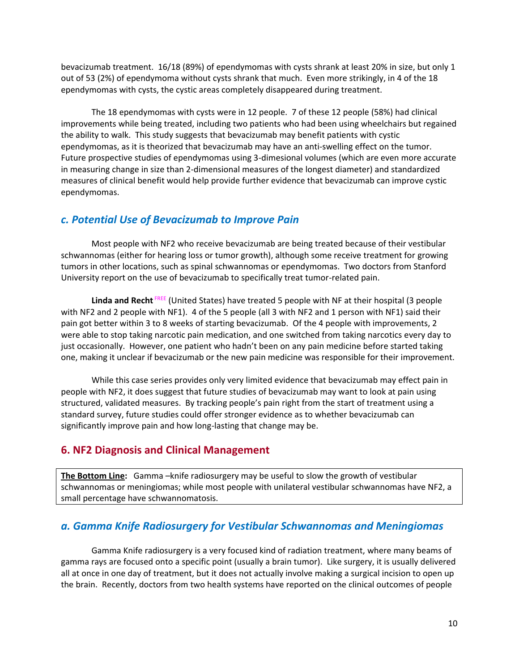bevacizumab treatment. 16/18 (89%) of ependymomas with cysts shrank at least 20% in size, but only 1 out of 53 (2%) of ependymoma without cysts shrank that much. Even more strikingly, in 4 of the 18 ependymomas with cysts, the cystic areas completely disappeared during treatment.

The 18 ependymomas with cysts were in 12 people. 7 of these 12 people (58%) had clinical improvements while being treated, including two patients who had been using wheelchairs but regained the ability to walk. This study suggests that bevacizumab may benefit patients with cystic ependymomas, as it is theorized that bevacizumab may have an anti-swelling effect on the tumor. Future prospective studies of ependymomas using 3-dimesional volumes (which are even more accurate in measuring change in size than 2-dimensional measures of the longest diameter) and standardized measures of clinical benefit would help provide further evidence that bevacizumab can improve cystic ependymomas.

## *c. Potential Use of Bevacizumab to Improve Pain*

Most people with NF2 who receive bevacizumab are being treated because of their vestibular schwannomas (either for hearing loss or tumor growth), although some receive treatment for growing tumors in other locations, such as spinal schwannomas or ependymomas. Two doctors from Stanford University report on the use of bevacizumab to specifically treat tumor-related pain.

**Linda and Recht** FREE (United States) have treated 5 people with NF at their hospital (3 people with NF2 and 2 people with NF1). 4 of the 5 people (all 3 with NF2 and 1 person with NF1) said their pain got better within 3 to 8 weeks of starting bevacizumab. Of the 4 people with improvements, 2 were able to stop taking narcotic pain medication, and one switched from taking narcotics every day to just occasionally. However, one patient who hadn't been on any pain medicine before started taking one, making it unclear if bevacizumab or the new pain medicine was responsible for their improvement.

While this case series provides only very limited evidence that bevacizumab may effect pain in people with NF2, it does suggest that future studies of bevacizumab may want to look at pain using structured, validated measures. By tracking people's pain right from the start of treatment using a standard survey, future studies could offer stronger evidence as to whether bevacizumab can significantly improve pain and how long-lasting that change may be.

#### **6. NF2 Diagnosis and Clinical Management**

**The Bottom Line:** Gamma –knife radiosurgery may be useful to slow the growth of vestibular schwannomas or meningiomas; while most people with unilateral vestibular schwannomas have NF2, a small percentage have schwannomatosis.

## *a. Gamma Knife Radiosurgery for Vestibular Schwannomas and Meningiomas*

Gamma Knife radiosurgery is a very focused kind of radiation treatment, where many beams of gamma rays are focused onto a specific point (usually a brain tumor). Like surgery, it is usually delivered all at once in one day of treatment, but it does not actually involve making a surgical incision to open up the brain. Recently, doctors from two health systems have reported on the clinical outcomes of people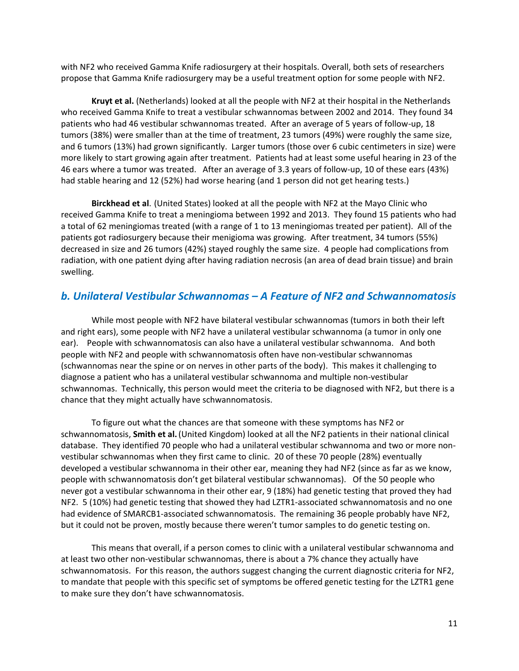with NF2 who received Gamma Knife radiosurgery at their hospitals. Overall, both sets of researchers propose that Gamma Knife radiosurgery may be a useful treatment option for some people with NF2.

**Kruyt et al.** (Netherlands) looked at all the people with NF2 at their hospital in the Netherlands who received Gamma Knife to treat a vestibular schwannomas between 2002 and 2014. They found 34 patients who had 46 vestibular schwannomas treated. After an average of 5 years of follow-up, 18 tumors (38%) were smaller than at the time of treatment, 23 tumors (49%) were roughly the same size, and 6 tumors (13%) had grown significantly. Larger tumors (those over 6 cubic centimeters in size) were more likely to start growing again after treatment. Patients had at least some useful hearing in 23 of the 46 ears where a tumor was treated. After an average of 3.3 years of follow-up, 10 of these ears (43%) had stable hearing and 12 (52%) had worse hearing (and 1 person did not get hearing tests.)

**Birckhead et al**. (United States) looked at all the people with NF2 at the Mayo Clinic who received Gamma Knife to treat a meningioma between 1992 and 2013. They found 15 patients who had a total of 62 meningiomas treated (with a range of 1 to 13 meningiomas treated per patient). All of the patients got radiosurgery because their menigioma was growing. After treatment, 34 tumors (55%) decreased in size and 26 tumors (42%) stayed roughly the same size. 4 people had complications from radiation, with one patient dying after having radiation necrosis (an area of dead brain tissue) and brain swelling.

#### *b. Unilateral Vestibular Schwannomas – A Feature of NF2 and Schwannomatosis*

While most people with NF2 have bilateral vestibular schwannomas (tumors in both their left and right ears), some people with NF2 have a unilateral vestibular schwannoma (a tumor in only one ear). People with schwannomatosis can also have a unilateral vestibular schwannoma. And both people with NF2 and people with schwannomatosis often have non-vestibular schwannomas (schwannomas near the spine or on nerves in other parts of the body). This makes it challenging to diagnose a patient who has a unilateral vestibular schwannoma and multiple non-vestibular schwannomas. Technically, this person would meet the criteria to be diagnosed with NF2, but there is a chance that they might actually have schwannomatosis.

To figure out what the chances are that someone with these symptoms has NF2 or schwannomatosis, **Smith et al.**(United Kingdom) looked at all the NF2 patients in their national clinical database. They identified 70 people who had a unilateral vestibular schwannoma and two or more nonvestibular schwannomas when they first came to clinic. 20 of these 70 people (28%) eventually developed a vestibular schwannoma in their other ear, meaning they had NF2 (since as far as we know, people with schwannomatosis don't get bilateral vestibular schwannomas). Of the 50 people who never got a vestibular schwannoma in their other ear, 9 (18%) had genetic testing that proved they had NF2. 5 (10%) had genetic testing that showed they had LZTR1-associated schwannomatosis and no one had evidence of SMARCB1-associated schwannomatosis. The remaining 36 people probably have NF2, but it could not be proven, mostly because there weren't tumor samples to do genetic testing on.

This means that overall, if a person comes to clinic with a unilateral vestibular schwannoma and at least two other non-vestibular schwannomas, there is about a 7% chance they actually have schwannomatosis. For this reason, the authors suggest changing the current diagnostic criteria for NF2, to mandate that people with this specific set of symptoms be offered genetic testing for the LZTR1 gene to make sure they don't have schwannomatosis.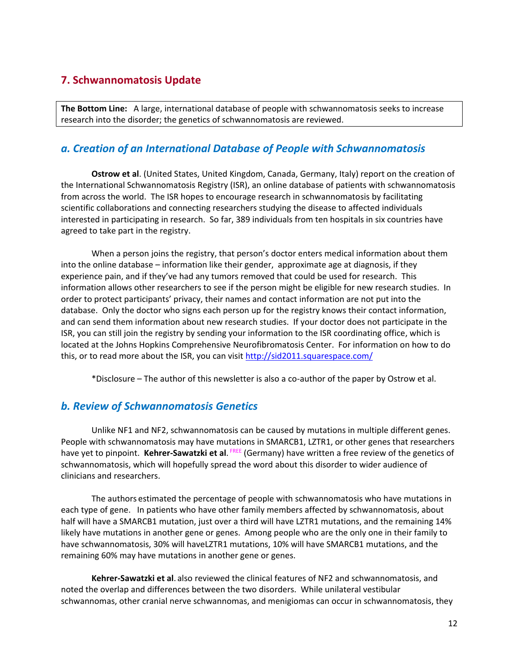# **7. Schwannomatosis Update**

**The Bottom Line:** A large, international database of people with schwannomatosis seeks to increase research into the disorder; the genetics of schwannomatosis are reviewed.

# *a. Creation of an International Database of People with Schwannomatosis*

**Ostrow et al**. (United States, United Kingdom, Canada, Germany, Italy) report on the creation of the International Schwannomatosis Registry (ISR), an online database of patients with schwannomatosis from across the world. The ISR hopes to encourage research in schwannomatosis by facilitating scientific collaborations and connecting researchers studying the disease to affected individuals interested in participating in research. So far, 389 individuals from ten hospitals in six countries have agreed to take part in the registry.

When a person joins the registry, that person's doctor enters medical information about them into the online database – information like their gender, approximate age at diagnosis, if they experience pain, and if they've had any tumors removed that could be used for research. This information allows other researchers to see if the person might be eligible for new research studies. In order to protect participants' privacy, their names and contact information are not put into the database. Only the doctor who signs each person up for the registry knows their contact information, and can send them information about new research studies. If your doctor does not participate in the ISR, you can still join the registry by sending your information to the ISR coordinating office, which is located at the Johns Hopkins Comprehensive Neurofibromatosis Center. For information on how to do this, or to read more about the ISR, you can visit<http://sid2011.squarespace.com/>

\*Disclosure – The author of this newsletter is also a co-author of the paper by Ostrow et al.

## *b. Review of Schwannomatosis Genetics*

Unlike NF1 and NF2, schwannomatosis can be caused by mutations in multiple different genes. People with schwannomatosis may have mutations in SMARCB1, LZTR1, or other genes that researchers have yet to pinpoint. Kehrer-Sawatzki et al. <sup>FREE</sup> (Germany) have written a free review of the genetics of schwannomatosis, which will hopefully spread the word about this disorder to wider audience of clinicians and researchers.

The authors estimated the percentage of people with schwannomatosis who have mutations in each type of gene. In patients who have other family members affected by schwannomatosis, about half will have a SMARCB1 mutation, just over a third will have LZTR1 mutations, and the remaining 14% likely have mutations in another gene or genes. Among people who are the only one in their family to have schwannomatosis, 30% will haveLZTR1 mutations, 10% will have SMARCB1 mutations, and the remaining 60% may have mutations in another gene or genes.

**Kehrer-Sawatzki et al**. also reviewed the clinical features of NF2 and schwannomatosis, and noted the overlap and differences between the two disorders. While unilateral vestibular schwannomas, other cranial nerve schwannomas, and menigiomas can occur in schwannomatosis, they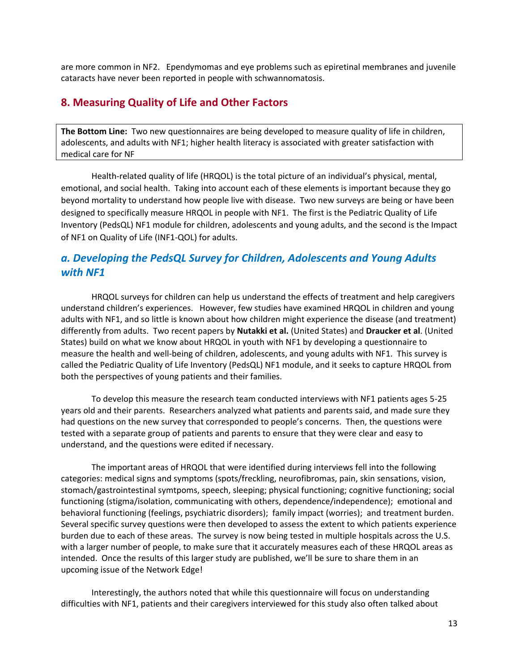are more common in NF2. Ependymomas and eye problems such as epiretinal membranes and juvenile cataracts have never been reported in people with schwannomatosis.

## **8. Measuring Quality of Life and Other Factors**

**The Bottom Line:** Two new questionnaires are being developed to measure quality of life in children, adolescents, and adults with NF1; higher health literacy is associated with greater satisfaction with medical care for NF

Health-related quality of life (HRQOL) is the total picture of an individual's physical, mental, emotional, and social health. Taking into account each of these elements is important because they go beyond mortality to understand how people live with disease. Two new surveys are being or have been designed to specifically measure HRQOL in people with NF1. The first is the Pediatric Quality of Life Inventory (PedsQL) NF1 module for children, adolescents and young adults, and the second is the Impact of NF1 on Quality of Life (INF1-QOL) for adults.

# *a. Developing the PedsQL Survey for Children, Adolescents and Young Adults with NF1*

HRQOL surveys for children can help us understand the effects of treatment and help caregivers understand children's experiences. However, few studies have examined HRQOL in children and young adults with NF1, and so little is known about how children might experience the disease (and treatment) differently from adults. Two recent papers by **Nutakki et al.** (United States) and **Draucker et al**. (United States) build on what we know about HRQOL in youth with NF1 by developing a questionnaire to measure the health and well-being of children, adolescents, and young adults with NF1. This survey is called the Pediatric Quality of Life Inventory (PedsQL) NF1 module, and it seeks to capture HRQOL from both the perspectives of young patients and their families.

To develop this measure the research team conducted interviews with NF1 patients ages 5-25 years old and their parents. Researchers analyzed what patients and parents said, and made sure they had questions on the new survey that corresponded to people's concerns. Then, the questions were tested with a separate group of patients and parents to ensure that they were clear and easy to understand, and the questions were edited if necessary.

The important areas of HRQOL that were identified during interviews fell into the following categories: medical signs and symptoms (spots/freckling, neurofibromas, pain, skin sensations, vision, stomach/gastrointestinal symtpoms, speech, sleeping; physical functioning; cognitive functioning; social functioning (stigma/isolation, communicating with others, dependence/independence); emotional and behavioral functioning (feelings, psychiatric disorders); family impact (worries); and treatment burden. Several specific survey questions were then developed to assess the extent to which patients experience burden due to each of these areas. The survey is now being tested in multiple hospitals across the U.S. with a larger number of people, to make sure that it accurately measures each of these HRQOL areas as intended. Once the results of this larger study are published, we'll be sure to share them in an upcoming issue of the Network Edge!

Interestingly, the authors noted that while this questionnaire will focus on understanding difficulties with NF1, patients and their caregivers interviewed for this study also often talked about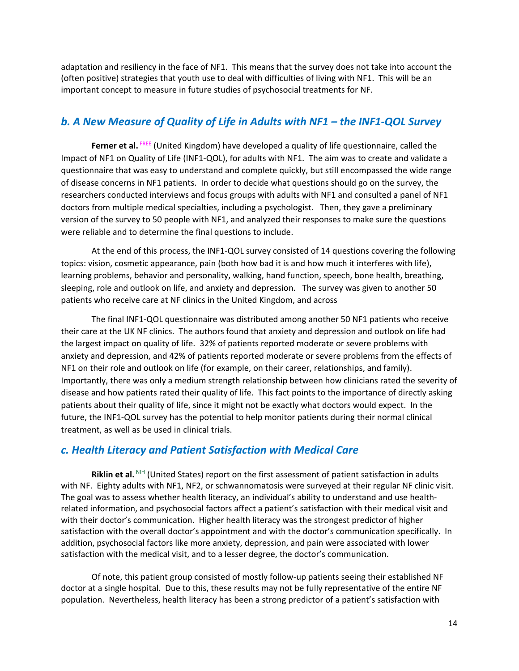adaptation and resiliency in the face of NF1. This means that the survey does not take into account the (often positive) strategies that youth use to deal with difficulties of living with NF1. This will be an important concept to measure in future studies of psychosocial treatments for NF.

## *b. A New Measure of Quality of Life in Adults with NF1 – the INF1-QOL Survey*

Ferner et al. FREE (United Kingdom) have developed a quality of life questionnaire, called the Impact of NF1 on Quality of Life (INF1-QOL), for adults with NF1. The aim was to create and validate a questionnaire that was easy to understand and complete quickly, but still encompassed the wide range of disease concerns in NF1 patients. In order to decide what questions should go on the survey, the researchers conducted interviews and focus groups with adults with NF1 and consulted a panel of NF1 doctors from multiple medical specialties, including a psychologist. Then, they gave a preliminary version of the survey to 50 people with NF1, and analyzed their responses to make sure the questions were reliable and to determine the final questions to include.

At the end of this process, the INF1-QOL survey consisted of 14 questions covering the following topics: vision, cosmetic appearance, pain (both how bad it is and how much it interferes with life), learning problems, behavior and personality, walking, hand function, speech, bone health, breathing, sleeping, role and outlook on life, and anxiety and depression. The survey was given to another 50 patients who receive care at NF clinics in the United Kingdom, and across

The final INF1-QOL questionnaire was distributed among another 50 NF1 patients who receive their care at the UK NF clinics. The authors found that anxiety and depression and outlook on life had the largest impact on quality of life. 32% of patients reported moderate or severe problems with anxiety and depression, and 42% of patients reported moderate or severe problems from the effects of NF1 on their role and outlook on life (for example, on their career, relationships, and family). Importantly, there was only a medium strength relationship between how clinicians rated the severity of disease and how patients rated their quality of life. This fact points to the importance of directly asking patients about their quality of life, since it might not be exactly what doctors would expect. In the future, the INF1-QOL survey has the potential to help monitor patients during their normal clinical treatment, as well as be used in clinical trials.

## *c. Health Literacy and Patient Satisfaction with Medical Care*

**Riklin et al.** NIH (United States) report on the first assessment of patient satisfaction in adults with NF. Eighty adults with NF1, NF2, or schwannomatosis were surveyed at their regular NF clinic visit. The goal was to assess whether health literacy, an individual's ability to understand and use healthrelated information, and psychosocial factors affect a patient's satisfaction with their medical visit and with their doctor's communication. Higher health literacy was the strongest predictor of higher satisfaction with the overall doctor's appointment and with the doctor's communication specifically. In addition, psychosocial factors like more anxiety, depression, and pain were associated with lower satisfaction with the medical visit, and to a lesser degree, the doctor's communication.

Of note, this patient group consisted of mostly follow-up patients seeing their established NF doctor at a single hospital. Due to this, these results may not be fully representative of the entire NF population. Nevertheless, health literacy has been a strong predictor of a patient's satisfaction with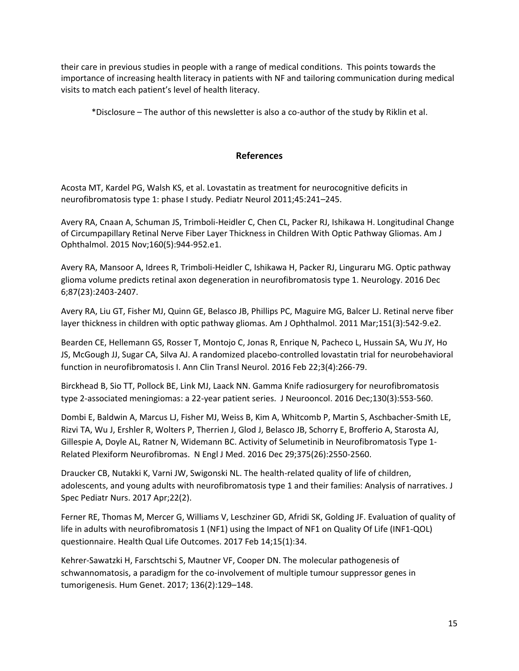their care in previous studies in people with a range of medical conditions. This points towards the importance of increasing health literacy in patients with NF and tailoring communication during medical visits to match each patient's level of health literacy.

\*Disclosure – The author of this newsletter is also a co-author of the study by Riklin et al.

#### **References**

Acosta MT, Kardel PG, Walsh KS, et al. Lovastatin as treatment for neurocognitive deficits in neurofibromatosis type 1: phase I study. Pediatr Neurol 2011;45:241–245.

Avery RA, Cnaan A, Schuman JS, Trimboli-Heidler C, Chen CL, Packer RJ, Ishikawa H. Longitudinal Change of Circumpapillary Retinal Nerve Fiber Layer Thickness in Children With Optic Pathway Gliomas. Am J Ophthalmol. 2015 Nov;160(5):944-952.e1.

Avery RA, Mansoor A, Idrees R, Trimboli-Heidler C, Ishikawa H, Packer RJ, Linguraru MG. Optic pathway glioma volume predicts retinal axon degeneration in neurofibromatosis type 1. Neurology. 2016 Dec 6;87(23):2403-2407.

Avery RA, Liu GT, Fisher MJ, Quinn GE, Belasco JB, Phillips PC, Maguire MG, Balcer LJ. Retinal nerve fiber layer thickness in children with optic pathway gliomas. Am J Ophthalmol. 2011 Mar;151(3):542-9.e2.

Bearden CE, Hellemann GS, Rosser T, Montojo C, Jonas R, Enrique N, Pacheco L, Hussain SA, Wu JY, Ho JS, McGough JJ, Sugar CA, Silva AJ. A randomized placebo-controlled lovastatin trial for neurobehavioral function in neurofibromatosis I. Ann Clin Transl Neurol. 2016 Feb 22;3(4):266-79.

Birckhead B, Sio TT, Pollock BE, Link MJ, Laack NN. Gamma Knife radiosurgery for neurofibromatosis type 2-associated meningiomas: a 22-year patient series. J Neurooncol. 2016 Dec;130(3):553-560.

Dombi E, Baldwin A, Marcus LJ, Fisher MJ, Weiss B, Kim A, Whitcomb P, Martin S, Aschbacher-Smith LE, Rizvi TA, Wu J, Ershler R, Wolters P, Therrien J, Glod J, Belasco JB, Schorry E, Brofferio A, Starosta AJ, Gillespie A, Doyle AL, Ratner N, Widemann BC. Activity of Selumetinib in Neurofibromatosis Type 1- Related Plexiform Neurofibromas. N Engl J Med. 2016 Dec 29;375(26):2550-2560.

Draucker CB, Nutakki K, Varni JW, Swigonski NL. The health-related quality of life of children, adolescents, and young adults with neurofibromatosis type 1 and their families: Analysis of narratives. J Spec Pediatr Nurs. 2017 Apr;22(2).

Ferner RE, Thomas M, Mercer G, Williams V, Leschziner GD, Afridi SK, Golding JF. Evaluation of quality of life in adults with neurofibromatosis 1 (NF1) using the Impact of NF1 on Quality Of Life (INF1-QOL) questionnaire. Health Qual Life Outcomes. 2017 Feb 14;15(1):34.

Kehrer-Sawatzki H, Farschtschi S, Mautner VF, Cooper DN. The molecular pathogenesis of schwannomatosis, a paradigm for the co-involvement of multiple tumour suppressor genes in tumorigenesis. Hum Genet. 2017; 136(2):129–148.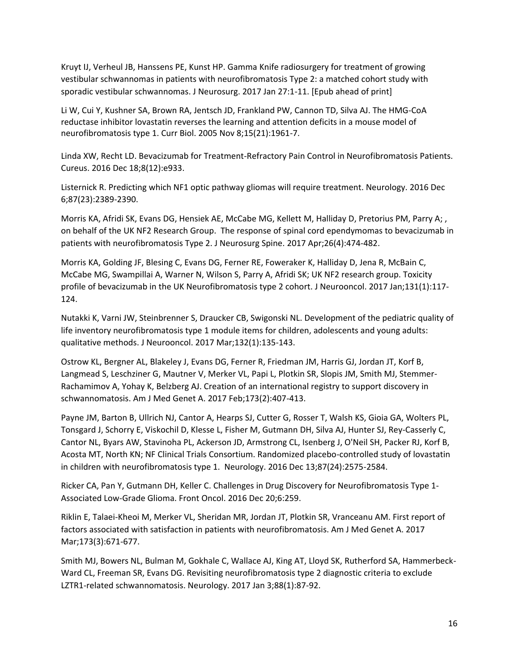Kruyt IJ, Verheul JB, Hanssens PE, Kunst HP. Gamma Knife radiosurgery for treatment of growing vestibular schwannomas in patients with neurofibromatosis Type 2: a matched cohort study with sporadic vestibular schwannomas. J Neurosurg. 2017 Jan 27:1-11. [Epub ahead of print]

Li W, Cui Y, Kushner SA, Brown RA, Jentsch JD, Frankland PW, Cannon TD, Silva AJ. The HMG-CoA reductase inhibitor lovastatin reverses the learning and attention deficits in a mouse model of neurofibromatosis type 1. Curr Biol. 2005 Nov 8;15(21):1961-7.

Linda XW, Recht LD. Bevacizumab for Treatment-Refractory Pain Control in Neurofibromatosis Patients. Cureus. 2016 Dec 18;8(12):e933.

Listernick R. Predicting which NF1 optic pathway gliomas will require treatment. Neurology. 2016 Dec 6;87(23):2389-2390.

Morris KA, Afridi SK, Evans DG, Hensiek AE, McCabe MG, Kellett M, Halliday D, Pretorius PM, Parry A; , on behalf of the UK NF2 Research Group. The response of spinal cord ependymomas to bevacizumab in patients with neurofibromatosis Type 2. J Neurosurg Spine. 2017 Apr;26(4):474-482.

Morris KA, Golding JF, Blesing C, Evans DG, Ferner RE, Foweraker K, Halliday D, Jena R, McBain C, McCabe MG, Swampillai A, Warner N, Wilson S, Parry A, Afridi SK; UK NF2 research group. Toxicity profile of bevacizumab in the UK Neurofibromatosis type 2 cohort. J Neurooncol. 2017 Jan;131(1):117- 124.

Nutakki K, Varni JW, Steinbrenner S, Draucker CB, Swigonski NL. Development of the pediatric quality of life inventory neurofibromatosis type 1 module items for children, adolescents and young adults: qualitative methods. J Neurooncol. 2017 Mar;132(1):135-143.

Ostrow KL, Bergner AL, Blakeley J, Evans DG, Ferner R, Friedman JM, Harris GJ, Jordan JT, Korf B, Langmead S, Leschziner G, Mautner V, Merker VL, Papi L, Plotkin SR, Slopis JM, Smith MJ, Stemmer-Rachamimov A, Yohay K, Belzberg AJ. Creation of an international registry to support discovery in schwannomatosis. Am J Med Genet A. 2017 Feb;173(2):407-413.

Payne JM, Barton B, Ullrich NJ, Cantor A, Hearps SJ, Cutter G, Rosser T, Walsh KS, Gioia GA, Wolters PL, Tonsgard J, Schorry E, Viskochil D, Klesse L, Fisher M, Gutmann DH, Silva AJ, Hunter SJ, Rey-Casserly C, Cantor NL, Byars AW, Stavinoha PL, Ackerson JD, Armstrong CL, Isenberg J, O'Neil SH, Packer RJ, Korf B, Acosta MT, North KN; NF Clinical Trials Consortium. Randomized placebo-controlled study of lovastatin in children with neurofibromatosis type 1. Neurology. 2016 Dec 13;87(24):2575-2584.

Ricker CA, Pan Y, Gutmann DH, Keller C. Challenges in Drug Discovery for Neurofibromatosis Type 1- Associated Low-Grade Glioma. Front Oncol. 2016 Dec 20;6:259.

Riklin E, Talaei-Kheoi M, Merker VL, Sheridan MR, Jordan JT, Plotkin SR, Vranceanu AM. First report of factors associated with satisfaction in patients with neurofibromatosis. Am J Med Genet A. 2017 Mar;173(3):671-677.

Smith MJ, Bowers NL, Bulman M, Gokhale C, Wallace AJ, King AT, Lloyd SK, Rutherford SA, Hammerbeck-Ward CL, Freeman SR, Evans DG. Revisiting neurofibromatosis type 2 diagnostic criteria to exclude LZTR1-related schwannomatosis. Neurology. 2017 Jan 3;88(1):87-92.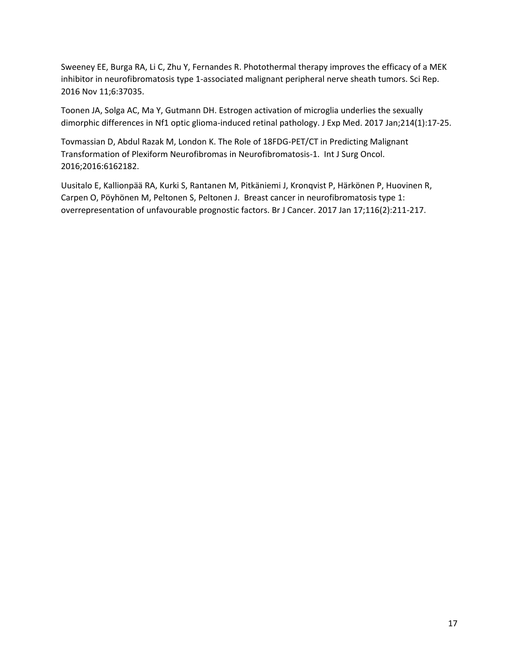Sweeney EE, Burga RA, Li C, Zhu Y, Fernandes R. Photothermal therapy improves the efficacy of a MEK inhibitor in neurofibromatosis type 1-associated malignant peripheral nerve sheath tumors. Sci Rep. 2016 Nov 11;6:37035.

Toonen JA, Solga AC, Ma Y, Gutmann DH. Estrogen activation of microglia underlies the sexually dimorphic differences in Nf1 optic glioma-induced retinal pathology. J Exp Med. 2017 Jan;214(1):17-25.

Tovmassian D, Abdul Razak M, London K. The Role of 18FDG-PET/CT in Predicting Malignant Transformation of Plexiform Neurofibromas in Neurofibromatosis-1. Int J Surg Oncol. 2016;2016:6162182.

Uusitalo E, Kallionpää RA, Kurki S, Rantanen M, Pitkäniemi J, Kronqvist P, Härkönen P, Huovinen R, Carpen O, Pöyhönen M, Peltonen S, Peltonen J. Breast cancer in neurofibromatosis type 1: overrepresentation of unfavourable prognostic factors. Br J Cancer. 2017 Jan 17;116(2):211-217.